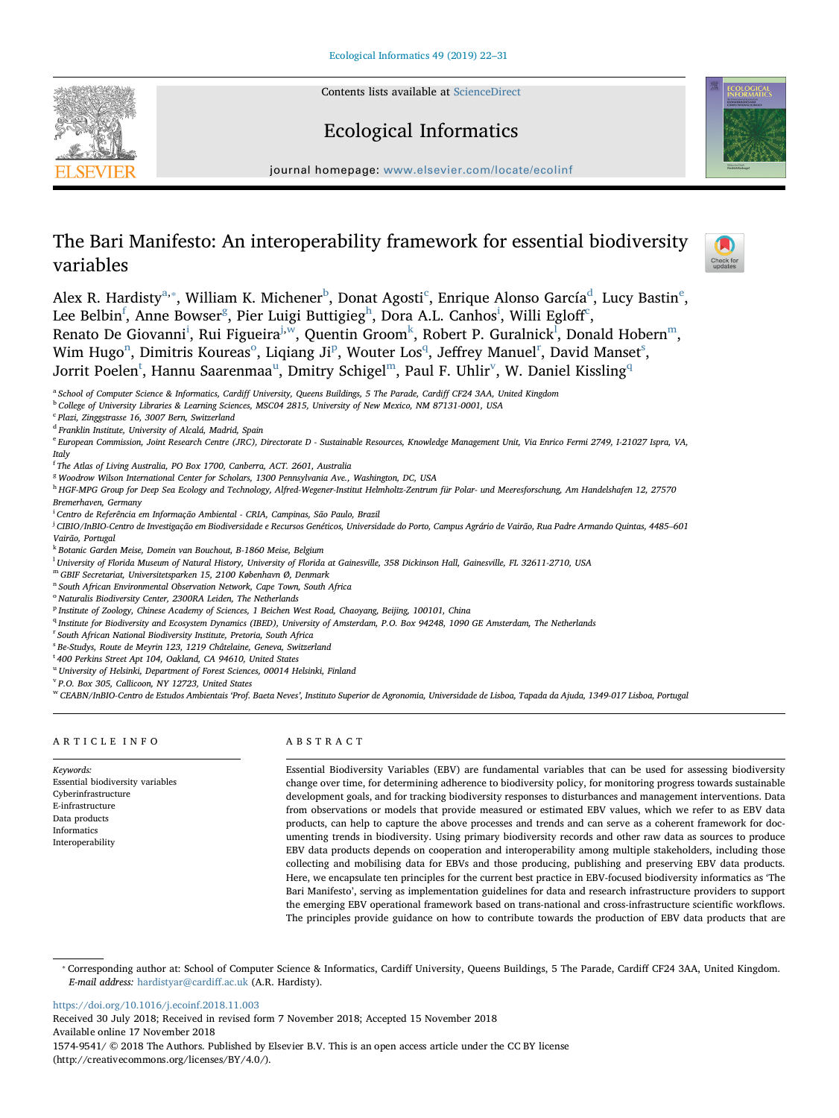

Contents lists available at [ScienceDirect](http://www.sciencedirect.com/science/journal/15749541)

# Ecological Informatics



journal homepage: [www.elsevier.com/locate/ecolinf](https://www.elsevier.com/locate/ecolinf)

# The Bari Manifesto: An interoperability framework for essential biodiversity variables



Alex R. H[a](#page-0-0)r[d](#page-0-4)isty $^{\rm a, *},$  William K. Mi[c](#page-0-3)h[e](#page-0-5)ner $^{\rm b}$  $^{\rm b}$  $^{\rm b}$ , Donat Agosti $^{\rm c}$ , Enrique Alonso García $^{\rm d}$ , Lucy Bastin $^{\rm e}$ , Lee Belb[i](#page-0-9)n $^{\rm f}$  $^{\rm f}$  $^{\rm f}$ , Anne Bowser $^{\rm g}$  $^{\rm g}$  $^{\rm g}$ , Pier Luigi Buttigieg $^{\rm h}$  $^{\rm h}$  $^{\rm h}$ , Dora A.L. Canhos $^{\rm i}$ , Willi Egloff $^{\rm c}$  $^{\rm c}$  $^{\rm c}$ , Renato De G[i](#page-0-9)ovanni<sup>i</sup>, Rui Figueira<sup>[j](#page-0-10),w</sup>, Quentin Groom<sup>[k](#page-0-12)</sup>, Robert P. Gura[l](#page-0-13)nick<sup>l</sup>, Donald Hobern<sup>m</sup>, Wim Hugo<sup>[n](#page-0-15)</sup>, Dimitris K[o](#page-0-16)ureas<su[p](#page-0-17)>o</sup>, Li[q](#page-0-18)iang Ji<sup>p</sup>, Woute[r](#page-0-19) Lo[s](#page-0-20)<sup>q</sup>, Jeffrey Manuel<sup>r</sup>, David Manset<sup>s</sup>, Jorrit Poelen<s[u](#page-0-22)p>t</sup>, Hannu Saaren[m](#page-0-14)aa<sup>u</sup>, Dmitry Schigel<sup>m</sup>, Paul F. Uhlir<sup>[v](#page-0-23)</sup>, W. Daniel Kissling<sup>[q](#page-0-18)</sup>

<span id="page-0-0"></span>a School of Computer Science & Informatics, Cardiff University, Queens Buildings, 5 The Parade, Cardiff CF24 3AA, United Kingdom

<span id="page-0-2"></span><sup>b</sup> College of University Libraries & Learning Sciences, MSC04 2815, University of New Mexico, NM 87131-0001, USA

<span id="page-0-5"></span><sup>e</sup> European Commission, Joint Research Centre (JRC), Directorate D - Sustainable Resources, Knowledge Management Unit, Via Enrico Fermi 2749, I-21027 Ispra, VA, Italy

<span id="page-0-6"></span><sup>f</sup> The Atlas of Living Australia, PO Box 1700, Canberra, ACT. 2601, Australia

<span id="page-0-7"></span><sup>8</sup> Woodrow Wilson International Center for Scholars, 1300 Pennsylvania Ave., Washington, DC, USA

<span id="page-0-8"></span><sup>h</sup> HGF-MPG Group for Deep Sea Ecology and Technology, Alfred-Wegener-Institut Helmholtz-Zentrum für Polar- und Meeresforschung, Am Handelshafen 12, 27570 Bremerhaven, Germany

<span id="page-0-9"></span><sup>i</sup> Centro de Referência em Informação Ambiental - CRIA, Campinas, São Paulo, Brazil

<span id="page-0-10"></span>j CIBIO/InBIO-Centro de Investigação em Biodiversidade e Recursos Genéticos, Universidade do Porto, Campus Agrário de Vairão, Rua Padre Armando Quintas, 4485–601 Vairão, Portugal

<span id="page-0-12"></span><sup>k</sup> Botanic Garden Meise, Domein van Bouchout, B-1860 Meise, Belgium

<span id="page-0-13"></span>l University of Florida Museum of Natural History, University of Florida at Gainesville, 358 Dickinson Hall, Gainesville, FL 32611-2710, USA

<span id="page-0-14"></span><sup>m</sup> GBIF Secretariat, Universitetsparken 15, 2100 København Ø, Denmark

<span id="page-0-15"></span><sup>n</sup> South African Environmental Observation Network, Cape Town, South Africa

<span id="page-0-16"></span> $^{\circ}$  Naturalis Biodiversity Center, 2300RA Leiden, The Netherlands

<span id="page-0-17"></span>P Institute of Zoology, Chinese Academy of Sciences, 1 Beichen West Road, Chaoyang, Beijing, 100101, China

<span id="page-0-18"></span><sup>q</sup> Institute for Biodiversity and Ecosystem Dynamics (IBED), University of Amsterdam, P.O. Box 94248, 1090 GE Amsterdam, The Netherlands

<span id="page-0-19"></span><sup>r</sup> South African National Biodiversity Institute, Pretoria, South Africa

<span id="page-0-20"></span>s Be-Studys, Route de Meyrin 123, 1219 Châtelaine, Geneva, Switzerland

<span id="page-0-21"></span><sup>t</sup> 400 Perkins Street Apt 104, Oakland, CA 94610, United States

<span id="page-0-22"></span><sup>u</sup> University of Helsinki, Department of Forest Sciences, 00014 Helsinki, Finland

<span id="page-0-23"></span> $V$  P.O. Box 305, Callicoon, NY 12723, United States

<span id="page-0-11"></span><sup>w</sup> CEABN/InBIO-Centro de Estudos Ambientais 'Prof. Baeta Neves', Instituto Superior de Agronomia, Universidade de Lisboa, Tapada da Ajuda, 1349-017 Lisboa, Portugal

# ARTICLE INFO

# ABSTRACT

Keywords: Essential biodiversity variables Cyberinfrastructure E-infrastructure Data products Informatics Interoperability

Essential Biodiversity Variables (EBV) are fundamental variables that can be used for assessing biodiversity change over time, for determining adherence to biodiversity policy, for monitoring progress towards sustainable development goals, and for tracking biodiversity responses to disturbances and management interventions. Data from observations or models that provide measured or estimated EBV values, which we refer to as EBV data products, can help to capture the above processes and trends and can serve as a coherent framework for documenting trends in biodiversity. Using primary biodiversity records and other raw data as sources to produce EBV data products depends on cooperation and interoperability among multiple stakeholders, including those collecting and mobilising data for EBVs and those producing, publishing and preserving EBV data products. Here, we encapsulate ten principles for the current best practice in EBV-focused biodiversity informatics as 'The Bari Manifesto', serving as implementation guidelines for data and research infrastructure providers to support the emerging EBV operational framework based on trans-national and cross-infrastructure scientific workflows. The principles provide guidance on how to contribute towards the production of EBV data products that are

<span id="page-0-1"></span>⁎ Corresponding author at: School of Computer Science & Informatics, Cardiff University, Queens Buildings, 5 The Parade, Cardiff CF24 3AA, United Kingdom. E-mail address: [hardistyar@cardi](mailto:hardistyar@cardiff.ac.uk)ff.ac.uk (A.R. Hardisty).

<https://doi.org/10.1016/j.ecoinf.2018.11.003>

Received 30 July 2018; Received in revised form 7 November 2018; Accepted 15 November 2018 Available online 17 November 2018 1574-9541/ © 2018 The Authors. Published by Elsevier B.V. This is an open access article under the CC BY license (http://creativecommons.org/licenses/BY/4.0/).

<span id="page-0-3"></span><sup>c</sup> Plazi, Zinggstrasse 16, 3007 Bern, Switzerland

<span id="page-0-4"></span><sup>d</sup> Franklin Institute, University of Alcalá, Madrid, Spain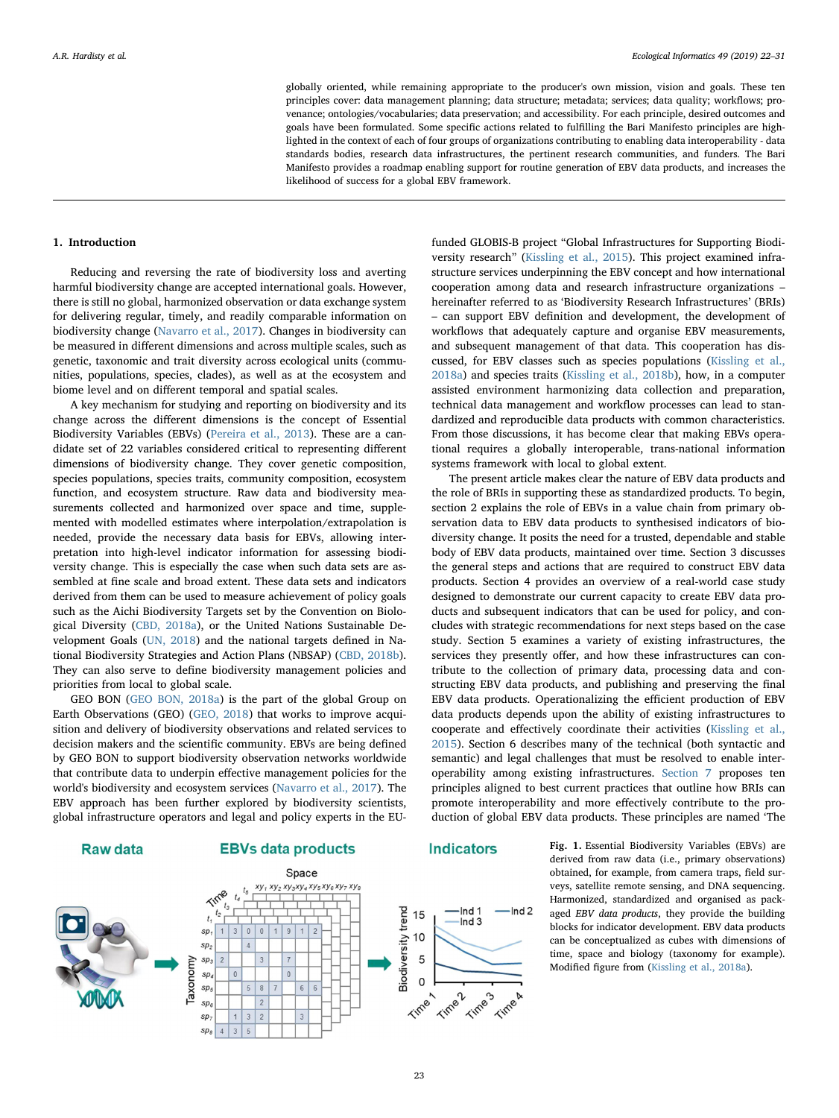globally oriented, while remaining appropriate to the producer's own mission, vision and goals. These ten principles cover: data management planning; data structure; metadata; services; data quality; workflows; provenance; ontologies/vocabularies; data preservation; and accessibility. For each principle, desired outcomes and goals have been formulated. Some specific actions related to fulfilling the Bari Manifesto principles are highlighted in the context of each of four groups of organizations contributing to enabling data interoperability - data standards bodies, research data infrastructures, the pertinent research communities, and funders. The Bari Manifesto provides a roadmap enabling support for routine generation of EBV data products, and increases the likelihood of success for a global EBV framework.

# 1. Introduction

Reducing and reversing the rate of biodiversity loss and averting harmful biodiversity change are accepted international goals. However, there is still no global, harmonized observation or data exchange system for delivering regular, timely, and readily comparable information on biodiversity change [\(Navarro et al., 2017](#page-8-0)). Changes in biodiversity can be measured in different dimensions and across multiple scales, such as genetic, taxonomic and trait diversity across ecological units (communities, populations, species, clades), as well as at the ecosystem and biome level and on different temporal and spatial scales.

A key mechanism for studying and reporting on biodiversity and its change across the different dimensions is the concept of Essential Biodiversity Variables (EBVs) [\(Pereira et al., 2013\)](#page-8-1). These are a candidate set of 22 variables considered critical to representing different dimensions of biodiversity change. They cover genetic composition, species populations, species traits, community composition, ecosystem function, and ecosystem structure. Raw data and biodiversity measurements collected and harmonized over space and time, supplemented with modelled estimates where interpolation/extrapolation is needed, provide the necessary data basis for EBVs, allowing interpretation into high-level indicator information for assessing biodiversity change. This is especially the case when such data sets are assembled at fine scale and broad extent. These data sets and indicators derived from them can be used to measure achievement of policy goals such as the Aichi Biodiversity Targets set by the Convention on Biological Diversity [\(CBD, 2018a\)](#page-7-0), or the United Nations Sustainable Development Goals [\(UN, 2018](#page-9-0)) and the national targets defined in National Biodiversity Strategies and Action Plans (NBSAP) ([CBD, 2018b](#page-7-1)). They can also serve to define biodiversity management policies and priorities from local to global scale.

GEO BON [\(GEO BON, 2018a](#page-8-2)) is the part of the global Group on Earth Observations (GEO) [\(GEO, 2018\)](#page-8-3) that works to improve acquisition and delivery of biodiversity observations and related services to decision makers and the scientific community. EBVs are being defined by GEO BON to support biodiversity observation networks worldwide that contribute data to underpin effective management policies for the world's biodiversity and ecosystem services [\(Navarro et al., 2017\)](#page-8-0). The EBV approach has been further explored by biodiversity scientists, global infrastructure operators and legal and policy experts in the EU-

funded GLOBIS-B project "Global Infrastructures for Supporting Biodiversity research" [\(Kissling et al., 2015](#page-8-4)). This project examined infrastructure services underpinning the EBV concept and how international cooperation among data and research infrastructure organizations – hereinafter referred to as 'Biodiversity Research Infrastructures' (BRIs) – can support EBV definition and development, the development of workflows that adequately capture and organise EBV measurements, and subsequent management of that data. This cooperation has discussed, for EBV classes such as species populations ([Kissling et al.,](#page-8-5) [2018a\)](#page-8-5) and species traits [\(Kissling et al., 2018b\)](#page-8-6), how, in a computer assisted environment harmonizing data collection and preparation, technical data management and workflow processes can lead to standardized and reproducible data products with common characteristics. From those discussions, it has become clear that making EBVs operational requires a globally interoperable, trans-national information systems framework with local to global extent.

The present article makes clear the nature of EBV data products and the role of BRIs in supporting these as standardized products. To begin, section 2 explains the role of EBVs in a value chain from primary observation data to EBV data products to synthesised indicators of biodiversity change. It posits the need for a trusted, dependable and stable body of EBV data products, maintained over time. Section 3 discusses the general steps and actions that are required to construct EBV data products. Section 4 provides an overview of a real-world case study designed to demonstrate our current capacity to create EBV data products and subsequent indicators that can be used for policy, and concludes with strategic recommendations for next steps based on the case study. Section 5 examines a variety of existing infrastructures, the services they presently offer, and how these infrastructures can contribute to the collection of primary data, processing data and constructing EBV data products, and publishing and preserving the final EBV data products. Operationalizing the efficient production of EBV data products depends upon the ability of existing infrastructures to cooperate and effectively coordinate their activities ([Kissling et al.,](#page-8-4) [2015\)](#page-8-4). Section 6 describes many of the technical (both syntactic and semantic) and legal challenges that must be resolved to enable interoperability among existing infrastructures. [Section 7](#page-4-0) proposes ten principles aligned to best current practices that outline how BRIs can promote interoperability and more effectively contribute to the production of global EBV data products. These principles are named 'The

<span id="page-1-0"></span>

Fig. 1. Essential Biodiversity Variables (EBVs) are derived from raw data (i.e., primary observations) obtained, for example, from camera traps, field surveys, satellite remote sensing, and DNA sequencing. Harmonized, standardized and organised as packaged EBV data products, they provide the building blocks for indicator development. EBV data products can be conceptualized as cubes with dimensions of time, space and biology (taxonomy for example). Modified figure from ([Kissling et al., 2018a\)](#page-8-5).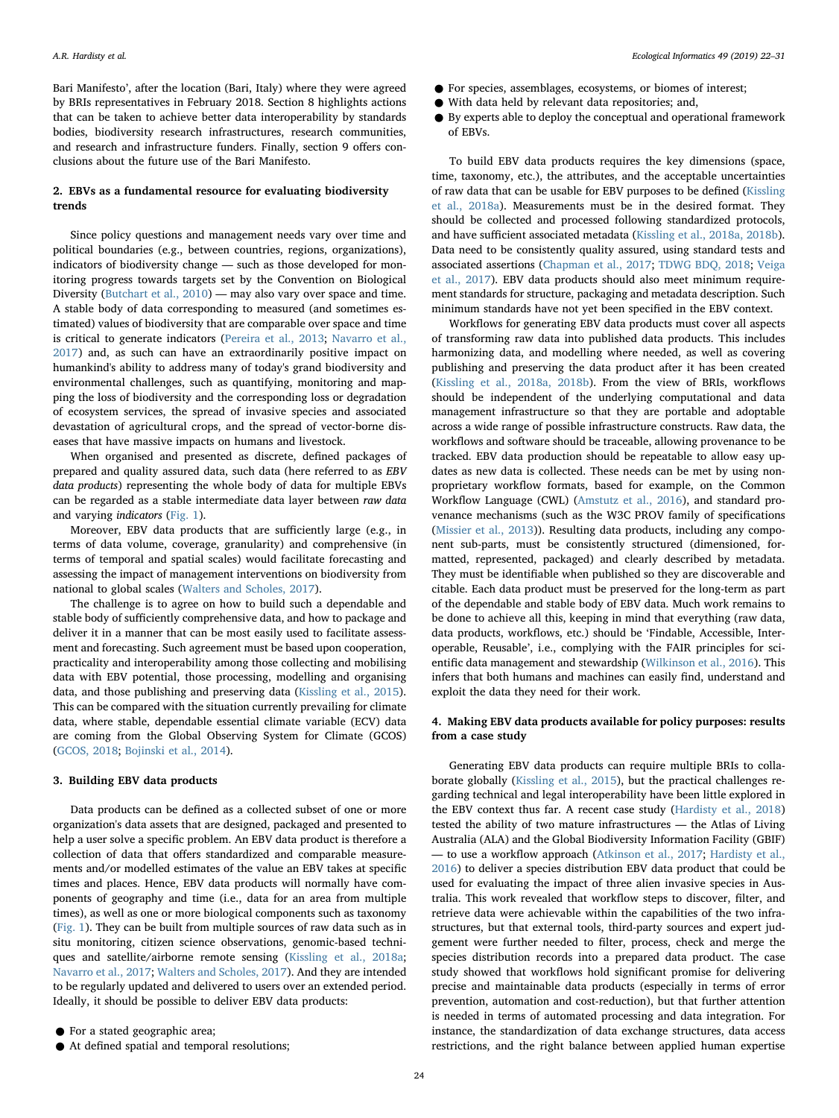Bari Manifesto', after the location (Bari, Italy) where they were agreed by BRIs representatives in February 2018. Section 8 highlights actions that can be taken to achieve better data interoperability by standards bodies, biodiversity research infrastructures, research communities, and research and infrastructure funders. Finally, section 9 offers conclusions about the future use of the Bari Manifesto.

# 2. EBVs as a fundamental resource for evaluating biodiversity trends

Since policy questions and management needs vary over time and political boundaries (e.g., between countries, regions, organizations), indicators of biodiversity change — such as those developed for monitoring progress towards targets set by the Convention on Biological Diversity ([Butchart et al., 2010\)](#page-7-2) — may also vary over space and time. A stable body of data corresponding to measured (and sometimes estimated) values of biodiversity that are comparable over space and time is critical to generate indicators ([Pereira et al., 2013](#page-8-1); [Navarro et al.,](#page-8-0) [2017\)](#page-8-0) and, as such can have an extraordinarily positive impact on humankind's ability to address many of today's grand biodiversity and environmental challenges, such as quantifying, monitoring and mapping the loss of biodiversity and the corresponding loss or degradation of ecosystem services, the spread of invasive species and associated devastation of agricultural crops, and the spread of vector-borne diseases that have massive impacts on humans and livestock.

When organised and presented as discrete, defined packages of prepared and quality assured data, such data (here referred to as EBV data products) representing the whole body of data for multiple EBVs can be regarded as a stable intermediate data layer between raw data and varying indicators ([Fig. 1](#page-1-0)).

Moreover, EBV data products that are sufficiently large (e.g., in terms of data volume, coverage, granularity) and comprehensive (in terms of temporal and spatial scales) would facilitate forecasting and assessing the impact of management interventions on biodiversity from national to global scales [\(Walters and Scholes, 2017\)](#page-9-1).

The challenge is to agree on how to build such a dependable and stable body of sufficiently comprehensive data, and how to package and deliver it in a manner that can be most easily used to facilitate assessment and forecasting. Such agreement must be based upon cooperation, practicality and interoperability among those collecting and mobilising data with EBV potential, those processing, modelling and organising data, and those publishing and preserving data [\(Kissling et al., 2015](#page-8-4)). This can be compared with the situation currently prevailing for climate data, where stable, dependable essential climate variable (ECV) data are coming from the Global Observing System for Climate (GCOS) ([GCOS, 2018;](#page-8-7) [Bojinski et al., 2014](#page-7-3)).

### 3. Building EBV data products

Data products can be defined as a collected subset of one or more organization's data assets that are designed, packaged and presented to help a user solve a specific problem. An EBV data product is therefore a collection of data that offers standardized and comparable measurements and/or modelled estimates of the value an EBV takes at specific times and places. Hence, EBV data products will normally have components of geography and time (i.e., data for an area from multiple times), as well as one or more biological components such as taxonomy ([Fig. 1\)](#page-1-0). They can be built from multiple sources of raw data such as in situ monitoring, citizen science observations, genomic-based techniques and satellite/airborne remote sensing [\(Kissling et al., 2018a](#page-8-5); Navarro [et al., 2017;](#page-8-0) [Walters and Scholes, 2017\)](#page-9-1). And they are intended to be regularly updated and delivered to users over an extended period. Ideally, it should be possible to deliver EBV data products:

- For species, assemblages, ecosystems, or biomes of interest;
- With data held by relevant data repositories; and,
- By experts able to deploy the conceptual and operational framework of EBVs.

To build EBV data products requires the key dimensions (space, time, taxonomy, etc.), the attributes, and the acceptable uncertainties of raw data that can be usable for EBV purposes to be defined [\(Kissling](#page-8-5) [et al., 2018a\)](#page-8-5). Measurements must be in the desired format. They should be collected and processed following standardized protocols, and have sufficient associated metadata ([Kissling et al., 2018a, 2018b](#page-8-5)). Data need to be consistently quality assured, using standard tests and associated assertions ([Chapman et al., 2017;](#page-7-4) [TDWG BDQ, 2018;](#page-9-2) [Veiga](#page-9-3) [et al., 2017\)](#page-9-3). EBV data products should also meet minimum requirement standards for structure, packaging and metadata description. Such minimum standards have not yet been specified in the EBV context.

Workflows for generating EBV data products must cover all aspects of transforming raw data into published data products. This includes harmonizing data, and modelling where needed, as well as covering publishing and preserving the data product after it has been created ([Kissling et al., 2018a, 2018b](#page-8-5)). From the view of BRIs, workflows should be independent of the underlying computational and data management infrastructure so that they are portable and adoptable across a wide range of possible infrastructure constructs. Raw data, the workflows and software should be traceable, allowing provenance to be tracked. EBV data production should be repeatable to allow easy updates as new data is collected. These needs can be met by using nonproprietary workflow formats, based for example, on the Common Workflow Language (CWL) [\(Amstutz et al., 2016](#page-7-5)), and standard provenance mechanisms (such as the W3C PROV family of specifications ([Missier et al., 2013\)](#page-8-8)). Resulting data products, including any component sub-parts, must be consistently structured (dimensioned, formatted, represented, packaged) and clearly described by metadata. They must be identifiable when published so they are discoverable and citable. Each data product must be preserved for the long-term as part of the dependable and stable body of EBV data. Much work remains to be done to achieve all this, keeping in mind that everything (raw data, data products, workflows, etc.) should be 'Findable, Accessible, Interoperable, Reusable', i.e., complying with the FAIR principles for scientific data management and stewardship [\(Wilkinson et al., 2016](#page-9-4)). This infers that both humans and machines can easily find, understand and exploit the data they need for their work.

# 4. Making EBV data products available for policy purposes: results from a case study

Generating EBV data products can require multiple BRIs to collaborate globally [\(Kissling et al., 2015\)](#page-8-4), but the practical challenges regarding technical and legal interoperability have been little explored in the EBV context thus far. A recent case study [\(Hardisty et al., 2018\)](#page-8-9) tested the ability of two mature infrastructures — the Atlas of Living Australia (ALA) and the Global Biodiversity Information Facility (GBIF) — to use a workflow approach ([Atkinson et al., 2017](#page-7-6); [Hardisty et al.,](#page-8-10) [2016\)](#page-8-10) to deliver a species distribution EBV data product that could be used for evaluating the impact of three alien invasive species in Australia. This work revealed that workflow steps to discover, filter, and retrieve data were achievable within the capabilities of the two infrastructures, but that external tools, third-party sources and expert judgement were further needed to filter, process, check and merge the species distribution records into a prepared data product. The case study showed that workflows hold significant promise for delivering precise and maintainable data products (especially in terms of error prevention, automation and cost-reduction), but that further attention is needed in terms of automated processing and data integration. For instance, the standardization of data exchange structures, data access restrictions, and the right balance between applied human expertise

<sup>●</sup> For a stated geographic area;

<sup>●</sup> At defined spatial and temporal resolutions;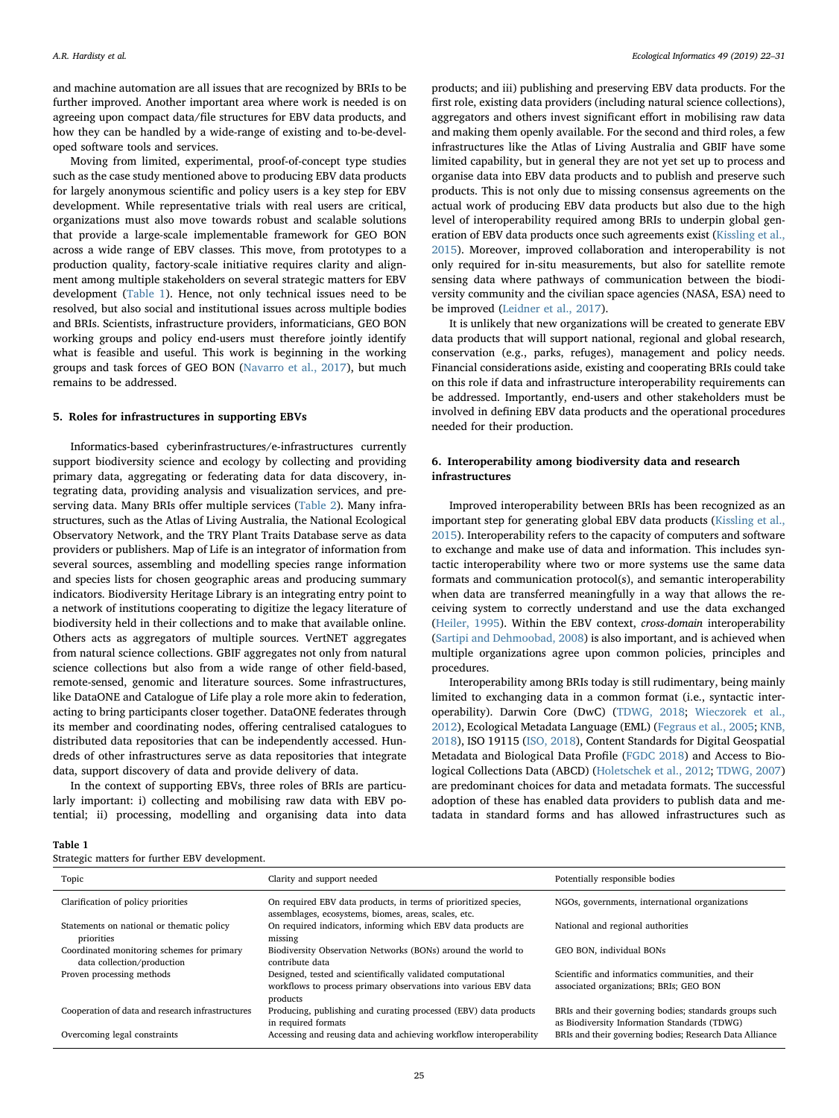and machine automation are all issues that are recognized by BRIs to be further improved. Another important area where work is needed is on agreeing upon compact data/file structures for EBV data products, and how they can be handled by a wide-range of existing and to-be-developed software tools and services.

Moving from limited, experimental, proof-of-concept type studies such as the case study mentioned above to producing EBV data products for largely anonymous scientific and policy users is a key step for EBV development. While representative trials with real users are critical, organizations must also move towards robust and scalable solutions that provide a large-scale implementable framework for GEO BON across a wide range of EBV classes. This move, from prototypes to a production quality, factory-scale initiative requires clarity and alignment among multiple stakeholders on several strategic matters for EBV development ([Table 1\)](#page-3-0). Hence, not only technical issues need to be resolved, but also social and institutional issues across multiple bodies and BRIs. Scientists, infrastructure providers, informaticians, GEO BON working groups and policy end-users must therefore jointly identify what is feasible and useful. This work is beginning in the working groups and task forces of GEO BON ([Navarro et al., 2017](#page-8-0)), but much remains to be addressed.

## 5. Roles for infrastructures in supporting EBVs

Informatics-based cyberinfrastructures/e-infrastructures currently support biodiversity science and ecology by collecting and providing primary data, aggregating or federating data for data discovery, integrating data, providing analysis and visualization services, and preserving data. Many BRIs offer multiple services [\(Table 2\)](#page-4-1). Many infrastructures, such as the Atlas of Living Australia, the National Ecological Observatory Network, and the TRY Plant Traits Database serve as data providers or publishers. Map of Life is an integrator of information from several sources, assembling and modelling species range information and species lists for chosen geographic areas and producing summary indicators. Biodiversity Heritage Library is an integrating entry point to a network of institutions cooperating to digitize the legacy literature of biodiversity held in their collections and to make that available online. Others acts as aggregators of multiple sources. VertNET aggregates from natural science collections. GBIF aggregates not only from natural science collections but also from a wide range of other field-based, remote-sensed, genomic and literature sources. Some infrastructures, like DataONE and Catalogue of Life play a role more akin to federation, acting to bring participants closer together. DataONE federates through its member and coordinating nodes, offering centralised catalogues to distributed data repositories that can be independently accessed. Hundreds of other infrastructures serve as data repositories that integrate data, support discovery of data and provide delivery of data.

In the context of supporting EBVs, three roles of BRIs are particularly important: i) collecting and mobilising raw data with EBV potential; ii) processing, modelling and organising data into data

products; and iii) publishing and preserving EBV data products. For the first role, existing data providers (including natural science collections), aggregators and others invest significant effort in mobilising raw data and making them openly available. For the second and third roles, a few infrastructures like the Atlas of Living Australia and GBIF have some limited capability, but in general they are not yet set up to process and organise data into EBV data products and to publish and preserve such products. This is not only due to missing consensus agreements on the actual work of producing EBV data products but also due to the high level of interoperability required among BRIs to underpin global generation of EBV data products once such agreements exist ([Kissling et al.,](#page-8-4) [2015\)](#page-8-4). Moreover, improved collaboration and interoperability is not only required for in-situ measurements, but also for satellite remote sensing data where pathways of communication between the biodiversity community and the civilian space agencies (NASA, ESA) need to be improved ([Leidner et al., 2017\)](#page-8-11).

It is unlikely that new organizations will be created to generate EBV data products that will support national, regional and global research, conservation (e.g., parks, refuges), management and policy needs. Financial considerations aside, existing and cooperating BRIs could take on this role if data and infrastructure interoperability requirements can be addressed. Importantly, end-users and other stakeholders must be involved in defining EBV data products and the operational procedures needed for their production.

# 6. Interoperability among biodiversity data and research infrastructures

Improved interoperability between BRIs has been recognized as an important step for generating global EBV data products [\(Kissling](#page-8-4) et al., [2015\)](#page-8-4). Interoperability refers to the capacity of computers and software to exchange and make use of data and information. This includes syntactic interoperability where two or more systems use the same data formats and communication protocol(s), and semantic interoperability when data are transferred meaningfully in a way that allows the receiving system to correctly understand and use the data exchanged ([Heiler, 1995\)](#page-8-12). Within the EBV context, cross-domain interoperability ([Sartipi and Dehmoobad, 2008\)](#page-8-13) is also important, and is achieved when multiple organizations agree upon common policies, principles and procedures.

Interoperability among BRIs today is still rudimentary, being mainly limited to exchanging data in a common format (i.e., syntactic interoperability). Darwin Core (DwC) ([TDWG, 2018](#page-9-5); [Wieczorek et al.,](#page-9-6) [2012\)](#page-9-6), Ecological Metadata Language (EML) [\(Fegraus et al., 2005;](#page-8-14) [KNB,](#page-8-15) [2018\)](#page-8-15), ISO 19115 ([ISO, 2018\)](#page-8-16), Content Standards for Digital Geospatial Metadata and Biological Data Profile ([FGDC 2018\)](#page-8-17) and Access to Biological Collections Data (ABCD) ([Holetschek et al., 2012;](#page-8-18) [TDWG, 2007\)](#page-9-7) are predominant choices for data and metadata formats. The successful adoption of these has enabled data providers to publish data and metadata in standard forms and has allowed infrastructures such as

#### <span id="page-3-0"></span>Table 1

|  |  | Strategic matters for further EBV development. |
|--|--|------------------------------------------------|
|  |  |                                                |

| Topic                                                                    | Clarity and support needed                                                                                                                 | Potentially responsible bodies                                                                         |
|--------------------------------------------------------------------------|--------------------------------------------------------------------------------------------------------------------------------------------|--------------------------------------------------------------------------------------------------------|
| Clarification of policy priorities                                       | On required EBV data products, in terms of prioritized species,<br>assemblages, ecosystems, biomes, areas, scales, etc.                    | NGOs, governments, international organizations                                                         |
| Statements on national or thematic policy<br>priorities                  | On required indicators, informing which EBV data products are<br>missing                                                                   | National and regional authorities                                                                      |
| Coordinated monitoring schemes for primary<br>data collection/production | Biodiversity Observation Networks (BONs) around the world to<br>contribute data                                                            | GEO BON, individual BONs                                                                               |
| Proven processing methods                                                | Designed, tested and scientifically validated computational<br>workflows to process primary observations into various EBV data<br>products | Scientific and informatics communities, and their<br>associated organizations; BRIs; GEO BON           |
| Cooperation of data and research infrastructures                         | Producing, publishing and curating processed (EBV) data products<br>in required formats                                                    | BRIs and their governing bodies; standards groups such<br>as Biodiversity Information Standards (TDWG) |
| Overcoming legal constraints                                             | Accessing and reusing data and achieving workflow interoperability                                                                         | BRIs and their governing bodies; Research Data Alliance                                                |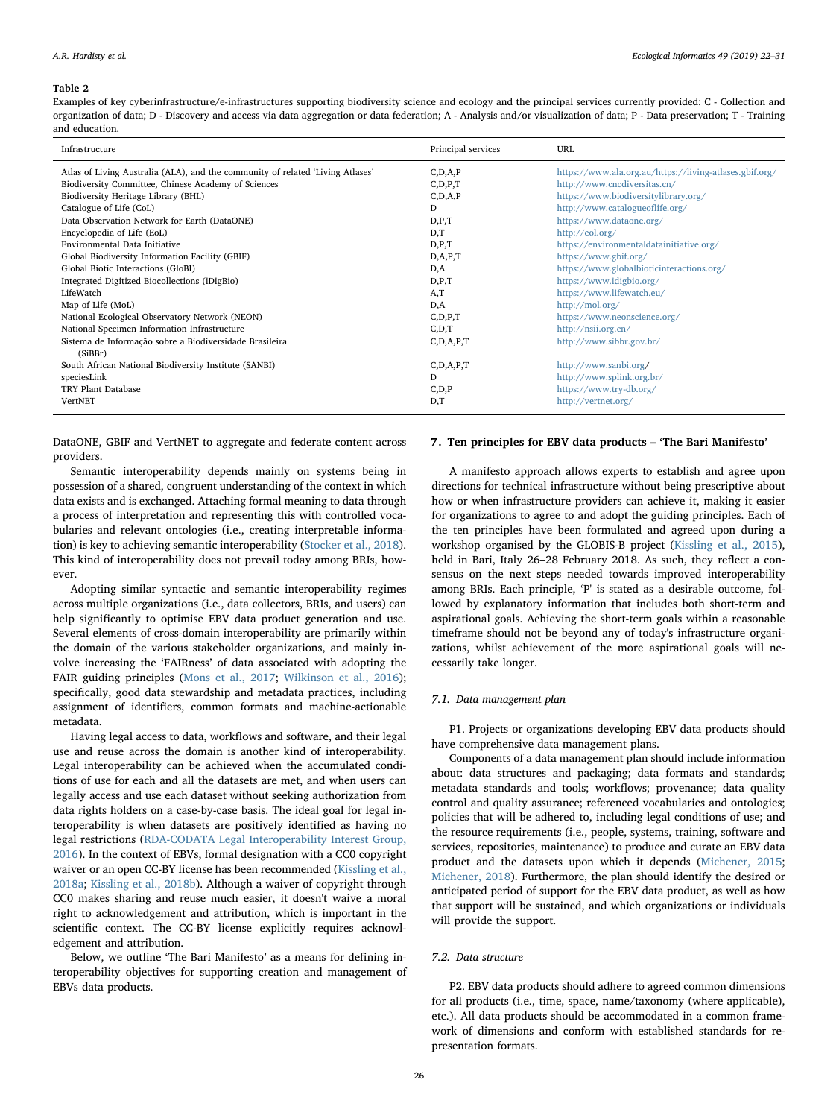### <span id="page-4-1"></span>Table 2

Examples of key cyberinfrastructure/e-infrastructures supporting biodiversity science and ecology and the principal services currently provided: C - Collection and organization of data; D - Discovery and access via data aggregation or data federation; A - Analysis and/or visualization of data; P - Data preservation; T - Training and education.

| Infrastructure                                                                                                                                                                                                                                                                                                                                                                                                                                                                                                                                                                                                                                                                                                                      | Principal services                                                                                                                                                                  | URL                                                                                                                                                                                                                                                                                                                                                                                                                                                                                                                         |
|-------------------------------------------------------------------------------------------------------------------------------------------------------------------------------------------------------------------------------------------------------------------------------------------------------------------------------------------------------------------------------------------------------------------------------------------------------------------------------------------------------------------------------------------------------------------------------------------------------------------------------------------------------------------------------------------------------------------------------------|-------------------------------------------------------------------------------------------------------------------------------------------------------------------------------------|-----------------------------------------------------------------------------------------------------------------------------------------------------------------------------------------------------------------------------------------------------------------------------------------------------------------------------------------------------------------------------------------------------------------------------------------------------------------------------------------------------------------------------|
| Atlas of Living Australia (ALA), and the community of related 'Living Atlases'<br>Biodiversity Committee, Chinese Academy of Sciences<br>Biodiversity Heritage Library (BHL)<br>Catalogue of Life (CoL)<br>Data Observation Network for Earth (DataONE)<br>Encyclopedia of Life (EoL)<br>Environmental Data Initiative<br>Global Biodiversity Information Facility (GBIF)<br>Global Biotic Interactions (GloBI)<br>Integrated Digitized Biocollections (iDigBio)<br>LifeWatch<br>Map of Life (MoL)<br>National Ecological Observatory Network (NEON)<br>National Specimen Information Infrastructure<br>Sistema de Informação sobre a Biodiversidade Brasileira<br>(SiBBr)<br>South African National Biodiversity Institute (SANBI) | C, D, A, P<br>C, D, P, T<br>C, D, A, P<br>D<br>D, P, T<br>D, T<br>D, P, T<br>D, A, P, T<br>D,A<br>D, P, T<br>A, T<br>D,A<br>C, D, P, T<br>C, D, T<br>C, D, A, P, T<br>C, D, A, P, T | https://www.ala.org.au/https://living-atlases.gbif.org/<br>http://www.cncdiversitas.cn/<br>https://www.biodiversitylibrary.org/<br>http://www.catalogueoflife.org/<br>https://www.dataone.org/<br>http://eol.org/<br>https://environmentaldatainitiative.org/<br>https://www.gbif.org/<br>https://www.globalbioticinteractions.org/<br>https://www.idigbio.org/<br>https://www.lifewatch.eu/<br>http://mol.org/<br>https://www.neonscience.org/<br>http://nsii.org.cn/<br>http://www.sibbr.gov.br/<br>http://www.sanbi.org/ |
| speciesLink<br>TRY Plant Database<br>VertNET                                                                                                                                                                                                                                                                                                                                                                                                                                                                                                                                                                                                                                                                                        | D<br>C, D, P<br>D, T                                                                                                                                                                | http://www.splink.org.br/<br>https://www.try-db.org/<br>http://vertnet.org/                                                                                                                                                                                                                                                                                                                                                                                                                                                 |

DataONE, GBIF and VertNET to aggregate and federate content across providers.

Semantic interoperability depends mainly on systems being in possession of a shared, congruent understanding of the context in which data exists and is exchanged. Attaching formal meaning to data through a process of interpretation and representing this with controlled vocabularies and relevant ontologies (i.e., creating interpretable information) is key to achieving semantic interoperability [\(Stocker et al., 2018](#page-9-8)). This kind of interoperability does not prevail today among BRIs, however.

Adopting similar syntactic and semantic interoperability regimes across multiple organizations (i.e., data collectors, BRIs, and users) can help significantly to optimise EBV data product generation and use. Several elements of cross-domain interoperability are primarily within the domain of the various stakeholder organizations, and mainly involve increasing the 'FAIRness' of data associated with adopting the FAIR guiding principles [\(Mons et al., 2017;](#page-8-19) [Wilkinson et al., 2016](#page-9-4)); specifically, good data stewardship and metadata practices, including assignment of identifiers, common formats and machine-actionable metadata.

Having legal access to data, workflows and software, and their legal use and reuse across the domain is another kind of interoperability. Legal interoperability can be achieved when the accumulated conditions of use for each and all the datasets are met, and when users can legally access and use each dataset without seeking authorization from data rights holders on a case-by-case basis. The ideal goal for legal interoperability is when datasets are positively identified as having no legal restrictions [\(RDA-CODATA Legal Interoperability Interest Group,](#page-8-20) [2016\)](#page-8-20). In the context of EBVs, formal designation with a CC0 copyright waiver or an open CC-BY license has been recommended ([Kissling et al.,](#page-8-5) [2018a;](#page-8-5) [Kissling et al., 2018b](#page-8-6)). Although a waiver of copyright through CC0 makes sharing and reuse much easier, it doesn't waive a moral right to acknowledgement and attribution, which is important in the scientific context. The CC-BY license explicitly requires acknowledgement and attribution.

Below, we outline 'The Bari Manifesto' as a means for defining interoperability objectives for supporting creation and management of EBVs data products.

## <span id="page-4-0"></span>7. Ten principles for EBV data products – 'The Bari Manifesto'

A manifesto approach allows experts to establish and agree upon directions for technical infrastructure without being prescriptive about how or when infrastructure providers can achieve it, making it easier for organizations to agree to and adopt the guiding principles. Each of the ten principles have been formulated and agreed upon during a workshop organised by the GLOBIS-B project ([Kissling et al., 2015](#page-8-4)), held in Bari, Italy 26–28 February 2018. As such, they reflect a consensus on the next steps needed towards improved interoperability among BRIs. Each principle, 'P' is stated as a desirable outcome, followed by explanatory information that includes both short-term and aspirational goals. Achieving the short-term goals within a reasonable timeframe should not be beyond any of today's infrastructure organizations, whilst achievement of the more aspirational goals will necessarily take longer.

## 7.1. Data management plan

P1. Projects or organizations developing EBV data products should have comprehensive data management plans.

Components of a data management plan should include information about: data structures and packaging; data formats and standards; metadata standards and tools; workflows; provenance; data quality control and quality assurance; referenced vocabularies and ontologies; policies that will be adhered to, including legal conditions of use; and the resource requirements (i.e., people, systems, training, software and services, repositories, maintenance) to produce and curate an EBV data product and the datasets upon which it depends ([Michener, 2015](#page-8-21); [Michener, 2018\)](#page-8-22). Furthermore, the plan should identify the desired or anticipated period of support for the EBV data product, as well as how that support will be sustained, and which organizations or individuals will provide the support.

# 7.2. Data structure

P2. EBV data products should adhere to agreed common dimensions for all products (i.e., time, space, name/taxonomy (where applicable), etc.). All data products should be accommodated in a common framework of dimensions and conform with established standards for representation formats.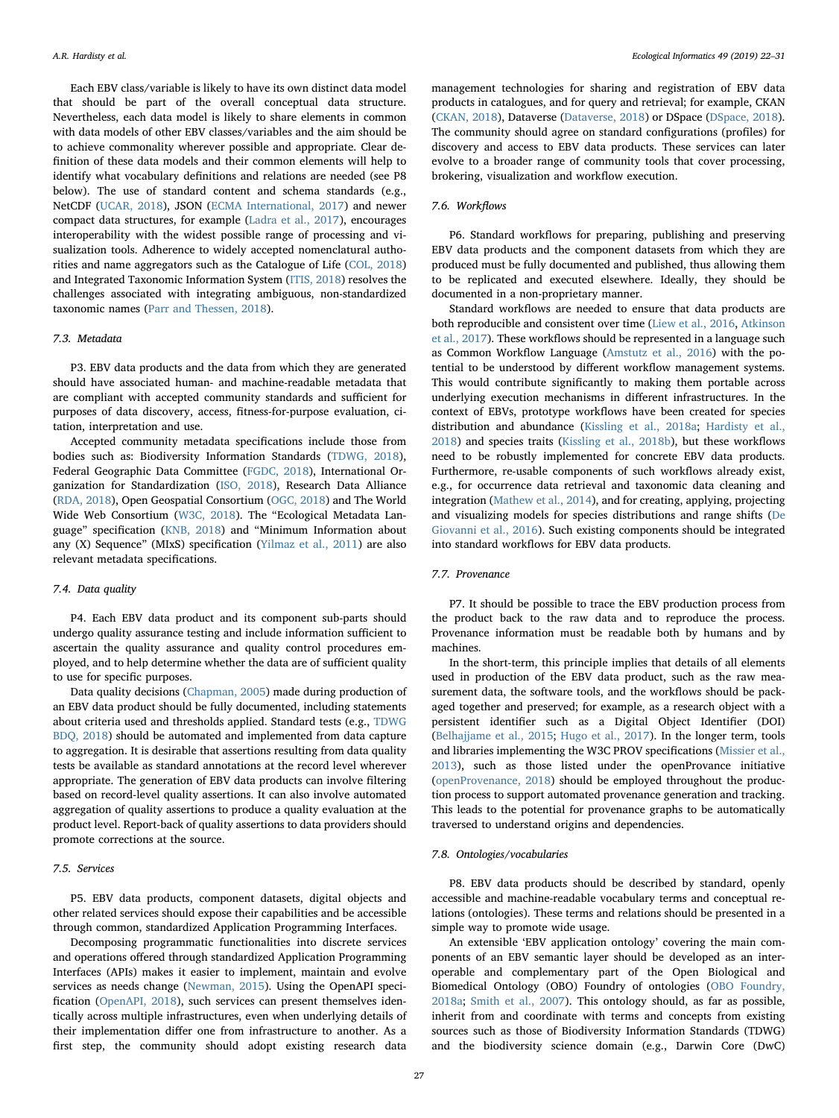Each EBV class/variable is likely to have its own distinct data model that should be part of the overall conceptual data structure. Nevertheless, each data model is likely to share elements in common with data models of other EBV classes/variables and the aim should be to achieve commonality wherever possible and appropriate. Clear definition of these data models and their common elements will help to identify what vocabulary definitions and relations are needed (see P8 below). The use of standard content and schema standards (e.g., NetCDF [\(UCAR, 2018\)](#page-9-9), JSON ([ECMA International, 2017](#page-8-23)) and newer compact data structures, for example ([Ladra et al., 2017](#page-8-24)), encourages interoperability with the widest possible range of processing and visualization tools. Adherence to widely accepted nomenclatural authorities and name aggregators such as the Catalogue of Life ([COL, 2018\)](#page-7-7) and Integrated Taxonomic Information System ([ITIS, 2018](#page-8-25)) resolves the challenges associated with integrating ambiguous, non-standardized taxonomic names [\(Parr and Thessen, 2018](#page-8-26)).

# 7.3. Metadata

P3. EBV data products and the data from which they are generated should have associated human- and machine-readable metadata that are compliant with accepted community standards and sufficient for purposes of data discovery, access, fitness-for-purpose evaluation, citation, interpretation and use.

Accepted community metadata specifications include those from bodies such as: Biodiversity Information Standards [\(TDWG, 2018](#page-9-5)), Federal Geographic Data Committee [\(FGDC, 2018](#page-8-17)), International Organization for Standardization [\(ISO, 2018\)](#page-8-16), Research Data Alliance ([RDA, 2018](#page-8-27)), Open Geospatial Consortium [\(OGC, 2018](#page-8-28)) and The World Wide Web Consortium ([W3C, 2018](#page-9-10)). The "Ecological Metadata Language" specification [\(KNB, 2018\)](#page-8-15) and "Minimum Information about any (X) Sequence" (MIxS) specification [\(Yilmaz et al., 2011](#page-9-11)) are also relevant metadata specifications.

# 7.4. Data quality

P4. Each EBV data product and its component sub-parts should undergo quality assurance testing and include information sufficient to ascertain the quality assurance and quality control procedures employed, and to help determine whether the data are of sufficient quality to use for specific purposes.

Data quality decisions ([Chapman, 2005\)](#page-7-8) made during production of an EBV data product should be fully documented, including statements about criteria used and thresholds applied. Standard tests (e.g., [TDWG](#page-9-2) [BDQ, 2018\)](#page-9-2) should be automated and implemented from data capture to aggregation. It is desirable that assertions resulting from data quality tests be available as standard annotations at the record level wherever appropriate. The generation of EBV data products can involve filtering based on record-level quality assertions. It can also involve automated aggregation of quality assertions to produce a quality evaluation at the product level. Report-back of quality assertions to data providers should promote corrections at the source.

# 7.5. Services

P5. EBV data products, component datasets, digital objects and other related services should expose their capabilities and be accessible through common, standardized Application Programming Interfaces.

Decomposing programmatic functionalities into discrete services and operations offered through standardized Application Programming Interfaces (APIs) makes it easier to implement, maintain and evolve services as needs change [\(Newman, 2015\)](#page-8-29). Using the OpenAPI specification ([OpenAPI, 2018](#page-8-30)), such services can present themselves identically across multiple infrastructures, even when underlying details of their implementation differ one from infrastructure to another. As a first step, the community should adopt existing research data

management technologies for sharing and registration of EBV data products in catalogues, and for query and retrieval; for example, CKAN ([CKAN, 2018](#page-7-9)), Dataverse ([Dataverse, 2018\)](#page-8-31) or DSpace [\(DSpace, 2018](#page-8-32)). The community should agree on standard configurations (profiles) for discovery and access to EBV data products. These services can later evolve to a broader range of community tools that cover processing, brokering, visualization and workflow execution.

# 7.6. Workflows

P6. Standard workflows for preparing, publishing and preserving EBV data products and the component datasets from which they are produced must be fully documented and published, thus allowing them to be replicated and executed elsewhere. Ideally, they should be documented in a non-proprietary manner.

Standard workflows are needed to ensure that data products are both reproducible and consistent over time [\(Liew et al., 2016,](#page-8-33) [Atkinson](#page-7-6) [et al., 2017\)](#page-7-6). These workflows should be represented in a language such as Common Workflow Language ([Amstutz et al., 2016\)](#page-7-5) with the potential to be understood by different workflow management systems. This would contribute significantly to making them portable across underlying execution mechanisms in different infrastructures. In the context of EBVs, prototype workflows have been created for species distribution and abundance [\(Kissling et al., 2018a;](#page-8-5) [Hardisty et al.,](#page-8-9) [2018\)](#page-8-9) and species traits [\(Kissling et al., 2018b](#page-8-6)), but these workflows need to be robustly implemented for concrete EBV data products. Furthermore, re-usable components of such workflows already exist, e.g., for occurrence data retrieval and taxonomic data cleaning and integration [\(Mathew et al., 2014](#page-8-34)), and for creating, applying, projecting and visualizing models for species distributions and range shifts [\(De](#page-8-35) [Giovanni et al., 2016\)](#page-8-35). Such existing components should be integrated into standard workflows for EBV data products.

# 7.7. Provenance

P7. It should be possible to trace the EBV production process from the product back to the raw data and to reproduce the process. Provenance information must be readable both by humans and by machines.

In the short-term, this principle implies that details of all elements used in production of the EBV data product, such as the raw measurement data, the software tools, and the workflows should be packaged together and preserved; for example, as a research object with a persistent identifier such as a Digital Object Identifier (DOI) ([Belhajjame et al., 2015;](#page-7-10) [Hugo et al., 2017](#page-8-36)). In the longer term, tools and libraries implementing the W3C PROV specifications [\(Missier et al.,](#page-8-8) [2013\)](#page-8-8), such as those listed under the openProvance initiative ([openProvenance, 2018](#page-8-37)) should be employed throughout the production process to support automated provenance generation and tracking. This leads to the potential for provenance graphs to be automatically traversed to understand origins and dependencies.

# 7.8. Ontologies/vocabularies

P8. EBV data products should be described by standard, openly accessible and machine-readable vocabulary terms and conceptual relations (ontologies). These terms and relations should be presented in a simple way to promote wide usage.

An extensible 'EBV application ontology' covering the main components of an EBV semantic layer should be developed as an interoperable and complementary part of the Open Biological and Biomedical Ontology (OBO) Foundry of ontologies ([OBO Foundry,](#page-8-38) [2018a;](#page-8-38) [Smith et al., 2007](#page-8-39)). This ontology should, as far as possible, inherit from and coordinate with terms and concepts from existing sources such as those of Biodiversity Information Standards (TDWG) and the biodiversity science domain (e.g., Darwin Core (DwC)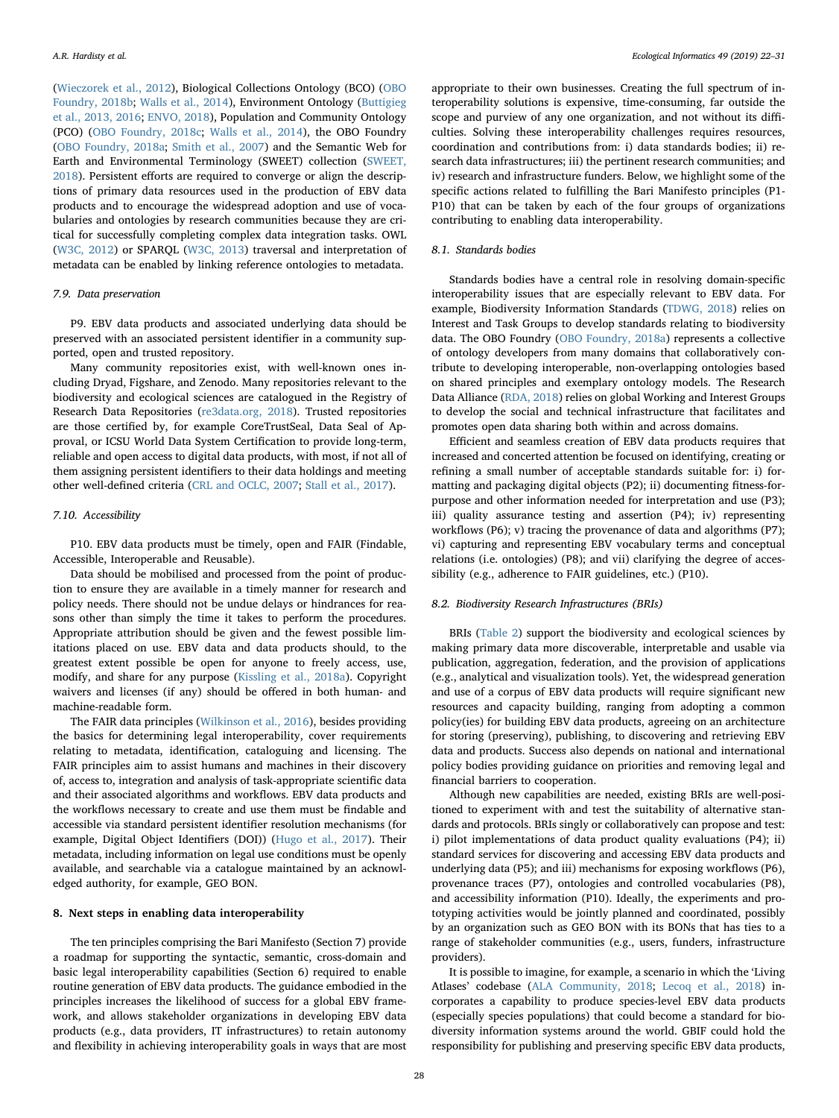([Wieczorek et al., 2012](#page-9-6)), Biological Collections Ontology (BCO) [\(OBO](#page-8-40) [Foundry, 2018b](#page-8-40); [Walls et al., 2014](#page-9-12)), Environment Ontology ([Buttigieg](#page-7-11) [et al., 2013, 2016](#page-7-11); [ENVO, 2018\)](#page-8-41), Population and Community Ontology (PCO) ([OBO Foundry, 2018c](#page-8-42); [Walls et al., 2014](#page-9-12)), the OBO Foundry ([OBO Foundry, 2018a](#page-8-38); [Smith et al., 2007\)](#page-8-39) and the Semantic Web for Earth and Environmental Terminology (SWEET) collection ([SWEET,](#page-9-13) [2018\)](#page-9-13). Persistent efforts are required to converge or align the descriptions of primary data resources used in the production of EBV data products and to encourage the widespread adoption and use of vocabularies and ontologies by research communities because they are critical for successfully completing complex data integration tasks. OWL ([W3C, 2012\)](#page-9-14) or SPARQL [\(W3C, 2013](#page-9-15)) traversal and interpretation of metadata can be enabled by linking reference ontologies to metadata.

# 7.9. Data preservation

P9. EBV data products and associated underlying data should be preserved with an associated persistent identifier in a community supported, open and trusted repository.

Many community repositories exist, with well-known ones including Dryad, Figshare, and Zenodo. Many repositories relevant to the biodiversity and ecological sciences are catalogued in the Registry of Research Data Repositories [\(re3data.org, 2018\)](#page-8-43). Trusted repositories are those certified by, for example CoreTrustSeal, Data Seal of Approval, or ICSU World Data System Certification to provide long-term, reliable and open access to digital data products, with most, if not all of them assigning persistent identifiers to their data holdings and meeting other well-defined criteria [\(CRL and OCLC, 2007](#page-7-12); [Stall et al., 2017](#page-8-44)).

# 7.10. Accessibility

P10. EBV data products must be timely, open and FAIR (Findable, Accessible, Interoperable and Reusable).

Data should be mobilised and processed from the point of production to ensure they are available in a timely manner for research and policy needs. There should not be undue delays or hindrances for reasons other than simply the time it takes to perform the procedures. Appropriate attribution should be given and the fewest possible limitations placed on use. EBV data and data products should, to the greatest extent possible be open for anyone to freely access, use, modify, and share for any purpose [\(Kissling et al., 2018a](#page-8-5)). Copyright waivers and licenses (if any) should be offered in both human- and machine-readable form.

The FAIR data principles [\(Wilkinson et al., 2016\)](#page-9-4), besides providing the basics for determining legal interoperability, cover requirements relating to metadata, identification, cataloguing and licensing. The FAIR principles aim to assist humans and machines in their discovery of, access to, integration and analysis of task-appropriate scientific data and their associated algorithms and workflows. EBV data products and the workflows necessary to create and use them must be findable and accessible via standard persistent identifier resolution mechanisms (for example, Digital Object Identifiers (DOI)) ([Hugo et al., 2017](#page-8-36)). Their metadata, including information on legal use conditions must be openly available, and searchable via a catalogue maintained by an acknowledged authority, for example, GEO BON.

# 8. Next steps in enabling data interoperability

The ten principles comprising the Bari Manifesto (Section 7) provide a roadmap for supporting the syntactic, semantic, cross-domain and basic legal interoperability capabilities (Section 6) required to enable routine generation of EBV data products. The guidance embodied in the principles increases the likelihood of success for a global EBV framework, and allows stakeholder organizations in developing EBV data products (e.g., data providers, IT infrastructures) to retain autonomy and flexibility in achieving interoperability goals in ways that are most appropriate to their own businesses. Creating the full spectrum of interoperability solutions is expensive, time-consuming, far outside the scope and purview of any one organization, and not without its difficulties. Solving these interoperability challenges requires resources, coordination and contributions from: i) data standards bodies; ii) research data infrastructures; iii) the pertinent research communities; and iv) research and infrastructure funders. Below, we highlight some of the specific actions related to fulfilling the Bari Manifesto principles (P1- P10) that can be taken by each of the four groups of organizations contributing to enabling data interoperability.

# 8.1. Standards bodies

Standards bodies have a central role in resolving domain-specific interoperability issues that are especially relevant to EBV data. For example, Biodiversity Information Standards ([TDWG, 2018](#page-9-5)) relies on Interest and Task Groups to develop standards relating to biodiversity data. The OBO Foundry [\(OBO Foundry, 2018a\)](#page-8-38) represents a collective of ontology developers from many domains that collaboratively contribute to developing interoperable, non-overlapping ontologies based on shared principles and exemplary ontology models. The Research Data Alliance [\(RDA, 2018\)](#page-8-27) relies on global Working and Interest Groups to develop the social and technical infrastructure that facilitates and promotes open data sharing both within and across domains.

Efficient and seamless creation of EBV data products requires that increased and concerted attention be focused on identifying, creating or refining a small number of acceptable standards suitable for: i) formatting and packaging digital objects (P2); ii) documenting fitness-forpurpose and other information needed for interpretation and use (P3); iii) quality assurance testing and assertion (P4); iv) representing workflows (P6); v) tracing the provenance of data and algorithms (P7); vi) capturing and representing EBV vocabulary terms and conceptual relations (i.e. ontologies) (P8); and vii) clarifying the degree of accessibility (e.g., adherence to FAIR guidelines, etc.) (P10).

# 8.2. Biodiversity Research Infrastructures (BRIs)

BRIs ([Table 2\)](#page-4-1) support the biodiversity and ecological sciences by making primary data more discoverable, interpretable and usable via publication, aggregation, federation, and the provision of applications (e.g., analytical and visualization tools). Yet, the widespread generation and use of a corpus of EBV data products will require significant new resources and capacity building, ranging from adopting a common policy(ies) for building EBV data products, agreeing on an architecture for storing (preserving), publishing, to discovering and retrieving EBV data and products. Success also depends on national and international policy bodies providing guidance on priorities and removing legal and financial barriers to cooperation.

Although new capabilities are needed, existing BRIs are well-positioned to experiment with and test the suitability of alternative standards and protocols. BRIs singly or collaboratively can propose and test: i) pilot implementations of data product quality evaluations (P4); ii) standard services for discovering and accessing EBV data products and underlying data (P5); and iii) mechanisms for exposing workflows (P6), provenance traces (P7), ontologies and controlled vocabularies (P8), and accessibility information (P10). Ideally, the experiments and prototyping activities would be jointly planned and coordinated, possibly by an organization such as GEO BON with its BONs that has ties to a range of stakeholder communities (e.g., users, funders, infrastructure providers).

It is possible to imagine, for example, a scenario in which the 'Living Atlases' codebase ([ALA Community, 2018;](#page-7-13) [Lecoq et al., 2018\)](#page-8-45) incorporates a capability to produce species-level EBV data products (especially species populations) that could become a standard for biodiversity information systems around the world. GBIF could hold the responsibility for publishing and preserving specific EBV data products,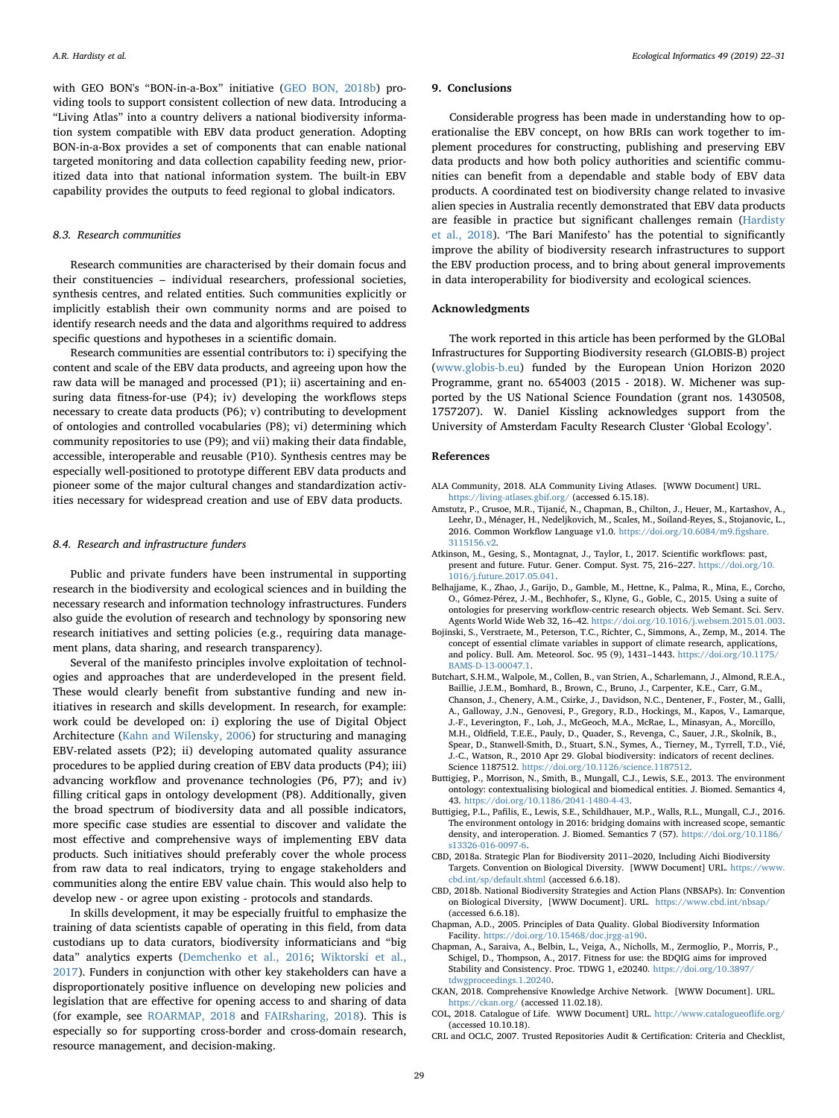with GEO BON's "BON-in-a-Box" initiative ([GEO BON, 2018b](#page-8-46)) providing tools to support consistent collection of new data. Introducing a "Living Atlas" into a country delivers a national biodiversity information system compatible with EBV data product generation. Adopting BON-in-a-Box provides a set of components that can enable national targeted monitoring and data collection capability feeding new, prioritized data into that national information system. The built-in EBV capability provides the outputs to feed regional to global indicators.

# 8.3. Research communities

Research communities are characterised by their domain focus and their constituencies – individual researchers, professional societies, synthesis centres, and related entities. Such communities explicitly or implicitly establish their own community norms and are poised to identify research needs and the data and algorithms required to address specific questions and hypotheses in a scientific domain.

Research communities are essential contributors to: i) specifying the content and scale of the EBV data products, and agreeing upon how the raw data will be managed and processed (P1); ii) ascertaining and ensuring data fitness-for-use (P4); iv) developing the workflows steps necessary to create data products (P6); v) contributing to development of ontologies and controlled vocabularies (P8); vi) determining which community repositories to use (P9); and vii) making their data findable, accessible, interoperable and reusable (P10). Synthesis centres may be especially well-positioned to prototype different EBV data products and pioneer some of the major cultural changes and standardization activities necessary for widespread creation and use of EBV data products.

## 8.4. Research and infrastructure funders

Public and private funders have been instrumental in supporting research in the biodiversity and ecological sciences and in building the necessary research and information technology infrastructures. Funders also guide the evolution of research and technology by sponsoring new research initiatives and setting policies (e.g., requiring data management plans, data sharing, and research transparency).

Several of the manifesto principles involve exploitation of technologies and approaches that are underdeveloped in the present field. These would clearly benefit from substantive funding and new initiatives in research and skills development. In research, for example: work could be developed on: i) exploring the use of Digital Object Architecture [\(Kahn and Wilensky, 2006\)](#page-8-47) for structuring and managing EBV-related assets (P2); ii) developing automated quality assurance procedures to be applied during creation of EBV data products (P4); iii) advancing workflow and provenance technologies (P6, P7); and iv) filling critical gaps in ontology development (P8). Additionally, given the broad spectrum of biodiversity data and all possible indicators, more specific case studies are essential to discover and validate the most effective and comprehensive ways of implementing EBV data products. Such initiatives should preferably cover the whole process from raw data to real indicators, trying to engage stakeholders and communities along the entire EBV value chain. This would also help to develop new - or agree upon existing - protocols and standards.

In skills development, it may be especially fruitful to emphasize the training of data scientists capable of operating in this field, from data custodians up to data curators, biodiversity informaticians and "big data" analytics experts ([Demchenko et al., 2016;](#page-8-48) [Wiktorski et al.,](#page-9-16) [2017\)](#page-9-16). Funders in conjunction with other key stakeholders can have a disproportionately positive influence on developing new policies and legislation that are effective for opening access to and sharing of data (for example, see [ROARMAP, 2018](#page-8-49) and [FAIRsharing, 2018](#page-8-50)). This is especially so for supporting cross-border and cross-domain research, resource management, and decision-making.

#### 9. Conclusions

Considerable progress has been made in understanding how to operationalise the EBV concept, on how BRIs can work together to implement procedures for constructing, publishing and preserving EBV data products and how both policy authorities and scientific communities can benefit from a dependable and stable body of EBV data products. A coordinated test on biodiversity change related to invasive alien species in Australia recently demonstrated that EBV data products are feasible in practice but significant challenges remain ([Hardisty](#page-8-9) [et al., 2018\)](#page-8-9). 'The Bari Manifesto' has the potential to significantly improve the ability of biodiversity research infrastructures to support the EBV production process, and to bring about general improvements in data interoperability for biodiversity and ecological sciences.

# Acknowledgments

The work reported in this article has been performed by the GLOBal Infrastructures for Supporting Biodiversity research (GLOBIS-B) project ([www.globis-b.eu](http://www.globis-b.eu)) funded by the European Union Horizon 2020 Programme, grant no. 654003 (2015 - 2018). W. Michener was supported by the US National Science Foundation (grant nos. 1430508, 1757207). W. Daniel Kissling acknowledges support from the University of Amsterdam Faculty Research Cluster 'Global Ecology'.

#### References

- <span id="page-7-13"></span>ALA Community, 2018. ALA Community Living Atlases. [WWW Document] URL. <https://living-atlases.gbif.org/> (accessed 6.15.18).
- <span id="page-7-5"></span>Amstutz, P., Crusoe, M.R., Tijanić, N., Chapman, B., Chilton, J., Heuer, M., Kartashov, A., Leehr, D., Ménager, H., Nedeljkovich, M., Scales, M., Soiland-Reyes, S., Stojanovic, L., 2016. Common Workflow Language v1.0. [https://doi.org/10.6084/m9.](https://doi.org/10.6084/m9.figshare.3115156.v2)figshare. [3115156.v2](https://doi.org/10.6084/m9.figshare.3115156.v2).
- <span id="page-7-6"></span>Atkinson, M., Gesing, S., Montagnat, J., Taylor, I., 2017. Scientific workflows: past, present and future. Futur. Gener. Comput. Syst. 75, 216–227. [https://doi.org/10.](https://doi.org/10.1016/j.future.2017.05.041) [1016/j.future.2017.05.041](https://doi.org/10.1016/j.future.2017.05.041).
- <span id="page-7-10"></span>Belhajjame, K., Zhao, J., Garijo, D., Gamble, M., Hettne, K., Palma, R., Mina, E., Corcho, O., Gómez-Pérez, J.-M., Bechhofer, S., Klyne, G., Goble, C., 2015. Using a suite of ontologies for preserving workflow-centric research objects. Web Semant. Sci. Serv. Agents World Wide Web 32, 16–42. [https://doi.org/10.1016/j.websem.2015.01.003.](https://doi.org/10.1016/j.websem.2015.01.003)
- <span id="page-7-3"></span>Bojinski, S., Verstraete, M., Peterson, T.C., Richter, C., Simmons, A., Zemp, M., 2014. The concept of essential climate variables in support of climate research, applications, and policy. Bull. Am. Meteorol. Soc. 95 (9), 1431–1443. [https://doi.org/10.1175/](https://doi.org/10.1175/BAMS-D-13-00047.1) [BAMS-D-13-00047.1.](https://doi.org/10.1175/BAMS-D-13-00047.1)
- <span id="page-7-2"></span>Butchart, S.H.M., Walpole, M., Collen, B., van Strien, A., Scharlemann, J., Almond, R.E.A., Baillie, J.E.M., Bomhard, B., Brown, C., Bruno, J., Carpenter, K.E., Carr, G.M., Chanson, J., Chenery, A.M., Csirke, J., Davidson, N.C., Dentener, F., Foster, M., Galli, A., Galloway, J.N., Genovesi, P., Gregory, R.D., Hockings, M., Kapos, V., Lamarque, J.-F., Leverington, F., Loh, J., McGeoch, M.A., McRae, L., Minasyan, A., Morcillo, M.H., Oldfield, T.E.E., Pauly, D., Quader, S., Revenga, C., Sauer, J.R., Skolnik, B., Spear, D., Stanwell-Smith, D., Stuart, S.N., Symes, A., Tierney, M., Tyrrell, T.D., Vié, J.-C., Watson, R., 2010 Apr 29. Global biodiversity: indicators of recent declines. Science 1187512. [https://doi.org/10.1126/science.1187512.](https://doi.org/10.1126/science.1187512)
- <span id="page-7-11"></span>Buttigieg, P., Morrison, N., Smith, B., Mungall, C.J., Lewis, S.E., 2013. The environment ontology: contextualising biological and biomedical entities. J. Biomed. Semantics 4, 43. <https://doi.org/10.1186/2041-1480-4-43>.
- Buttigieg, P.L., Pafilis, E., Lewis, S.E., Schildhauer, M.P., Walls, R.L., Mungall, C.J., 2016. The environment ontology in 2016: bridging domains with increased scope, semantic density, and interoperation. J. Biomed. Semantics 7 (57). [https://doi.org/10.1186/](https://doi.org/10.1186/s13326-016-0097-6) [s13326-016-0097-6.](https://doi.org/10.1186/s13326-016-0097-6)
- <span id="page-7-0"></span>CBD, 2018a. Strategic Plan for Biodiversity 2011–2020, Including Aichi Biodiversity Targets. Convention on Biological Diversity. [WWW Document] URL. [https://www.](https://www.cbd.int/sp/default.shtml) [cbd.int/sp/default.shtml](https://www.cbd.int/sp/default.shtml) (accessed 6.6.18).
- <span id="page-7-1"></span>CBD, 2018b. National Biodiversity Strategies and Action Plans (NBSAPs). In: Convention on Biological Diversity, [WWW Document]. URL. <https://www.cbd.int/nbsap/> (accessed 6.6.18).
- <span id="page-7-8"></span>Chapman, A.D., 2005. Principles of Data Quality. Global Biodiversity Information Facility. [https://doi.org/10.15468/doc.jrgg-a190.](https://doi.org/10.15468/doc.jrgg-a190)
- <span id="page-7-4"></span>Chapman, A., Saraiva, A., Belbin, L., Veiga, A., Nicholls, M., Zermoglio, P., Morris, P., Schigel, D., Thompson, A., 2017. Fitness for use: the BDQIG aims for improved Stability and Consistency. Proc. TDWG 1, e20240. [https://doi.org/10.3897/](https://doi.org/10.3897/tdwgproceedings.1.20240) [tdwgproceedings.1.20240.](https://doi.org/10.3897/tdwgproceedings.1.20240)
- <span id="page-7-9"></span>CKAN, 2018. Comprehensive Knowledge Archive Network. [WWW Document]. URL. <https://ckan.org/> (accessed 11.02.18).
- <span id="page-7-7"></span>COL, 2018. Catalogue of Life. WWW Document] URL. [http://www.catalogueo](http://www.catalogueoflife.org/)flife.org/ (accessed 10.10.18).
- <span id="page-7-12"></span>CRL and OCLC, 2007. Trusted Repositories Audit & Certification: Criteria and Checklist,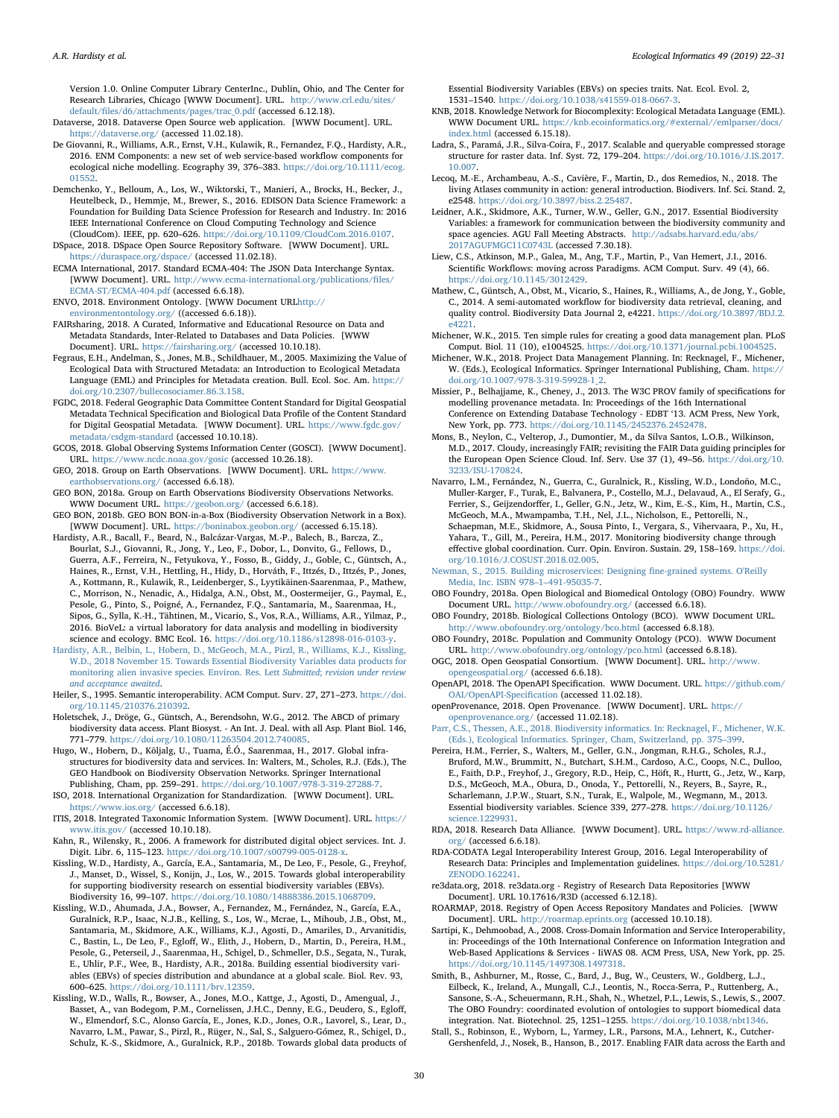Version 1.0. Online Computer Library CenterInc., Dublin, Ohio, and The Center for Research Libraries, Chicago [WWW Document]. URL. [http://www.crl.edu/sites/](http://www.crl.edu/sites/default/files/d6/attachments/pages/trac_0.pdf) default/fi[les/d6/attachments/pages/trac\\_0.pdf](http://www.crl.edu/sites/default/files/d6/attachments/pages/trac_0.pdf) (accessed 6.12.18).

<span id="page-8-31"></span>Dataverse, 2018. Dataverse Open Source web application. [WWW Document]. URL. <https://dataverse.org/> (accessed 11.02.18).

- <span id="page-8-35"></span>De Giovanni, R., Williams, A.R., Ernst, V.H., Kulawik, R., Fernandez, F.Q., Hardisty, A.R., 2016. ENM Components: a new set of web service-based workflow components for ecological niche modelling. Ecography 39, 376–383. [https://doi.org/10.1111/ecog.](https://doi.org/10.1111/ecog.01552) [01552.](https://doi.org/10.1111/ecog.01552)
- <span id="page-8-48"></span>Demchenko, Y., Belloum, A., Los, W., Wiktorski, T., Manieri, A., Brocks, H., Becker, J., Heutelbeck, D., Hemmje, M., Brewer, S., 2016. EDISON Data Science Framework: a Foundation for Building Data Science Profession for Research and Industry. In: 2016 IEEE International Conference on Cloud Computing Technology and Science (CloudCom). IEEE, pp. 620–626. <https://doi.org/10.1109/CloudCom.2016.0107>.
- <span id="page-8-32"></span>DSpace, 2018. DSpace Open Source Repository Software. [WWW Document]. URL. <https://duraspace.org/dspace/> (accessed 11.02.18).
- <span id="page-8-23"></span>ECMA International, 2017. Standard ECMA-404: The JSON Data Interchange Syntax. [WWW Document]. URL. [http://www.ecma-international.org/publications/](http://www.ecma-international.org/publications/files/ECMA-ST/ECMA-404.pdf)files/ [ECMA-ST/ECMA-404.pdf](http://www.ecma-international.org/publications/files/ECMA-ST/ECMA-404.pdf) (accessed 6.6.18).
- <span id="page-8-41"></span>ENVO, 2018. Environment Ontology. [WWW Document UR[Lhttp://](http://environmentontology.org/)
- [environmentontology.org/](http://environmentontology.org/) ((accessed 6.6.18)).
- <span id="page-8-50"></span>FAIRsharing, 2018. A Curated, Informative and Educational Resource on Data and Metadata Standards, Inter-Related to Databases and Data Policies. [WWW Document]. URL. <https://fairsharing.org/> (accessed 10.10.18).
- <span id="page-8-14"></span>Fegraus, E.H., Andelman, S., Jones, M.B., Schildhauer, M., 2005. Maximizing the Value of Ecological Data with Structured Metadata: an Introduction to Ecological Metadata Language (EML) and Principles for Metadata creation. Bull. Ecol. Soc. Am. [https://](https://doi.org/10.2307/bullecosociamer.86.3.158) [doi.org/10.2307/bullecosociamer.86.3.158.](https://doi.org/10.2307/bullecosociamer.86.3.158)
- <span id="page-8-17"></span>FGDC, 2018. Federal Geographic Data Committee Content Standard for Digital Geospatial Metadata Technical Specification and Biological Data Profile of the Content Standard for Digital Geospatial Metadata. [WWW Document]. URL. [https://www.fgdc.gov/](https://www.fgdc.gov/metadata/csdgm-standard) [metadata/csdgm-standard](https://www.fgdc.gov/metadata/csdgm-standard) (accessed 10.10.18).
- <span id="page-8-7"></span>GCOS, 2018. Global Observing Systems Information Center (GOSCI). [WWW Document]. URL. <https://www.ncdc.noaa.gov/gosic> (accessed 10.26.18).
- <span id="page-8-3"></span>GEO, 2018. Group on Earth Observations. [WWW Document]. URL. [https://www.](https://www.earthobservations.org/) [earthobservations.org/](https://www.earthobservations.org/) (accessed 6.6.18).
- <span id="page-8-2"></span>GEO BON, 2018a. Group on Earth Observations Biodiversity Observations Networks. WWW Document URL. <https://geobon.org/> (accessed 6.6.18).
- <span id="page-8-46"></span>GEO BON, 2018b. GEO BON BON-in-a-Box (Biodiversity Observation Network in a Box). [WWW Document]. URL. <https://boninabox.geobon.org/> (accessed 6.15.18).
- <span id="page-8-10"></span>Hardisty, A.R., Bacall, F., Beard, N., Balcázar-Vargas, M.-P., Balech, B., Barcza, Z., Bourlat, S.J., Giovanni, R., Jong, Y., Leo, F., Dobor, L., Donvito, G., Fellows, D., Guerra, A.F., Ferreira, N., Fetyukova, Y., Fosso, B., Giddy, J., Goble, C., Güntsch, A., Haines, R., Ernst, V.H., Hettling, H., Hidy, D., Horváth, F., Ittzés, D., Ittzés, P., Jones, A., Kottmann, R., Kulawik, R., Leidenberger, S., Lyytikäinen-Saarenmaa, P., Mathew, C., Morrison, N., Nenadic, A., Hidalga, A.N., Obst, M., Oostermeijer, G., Paymal, E., Pesole, G., Pinto, S., Poigné, A., Fernandez, F.Q., Santamaria, M., Saarenmaa, H., Sipos, G., Sylla, K.-H., Tähtinen, M., Vicario, S., Vos, R.A., Williams, A.R., Yilmaz, P., 2016. BioVeL: a virtual laboratory for data analysis and modelling in biodiversity science and ecology. BMC Ecol. 16. https://doi.org/10.1186/s12898-016-0103-y
- <span id="page-8-9"></span>[Hardisty, A.R., Belbin, L., Hobern, D., McGeoch, M.A., Pirzl, R., Williams, K.J., Kissling,](http://refhub.elsevier.com/S1574-9541(18)30196-1/rf0160) [W.D., 2018 November 15. Towards Essential Biodiversity Variables data products for](http://refhub.elsevier.com/S1574-9541(18)30196-1/rf0160) [monitoring alien invasive species. Environ. Res. Lett](http://refhub.elsevier.com/S1574-9541(18)30196-1/rf0160) Submitted; revision under review [and acceptance awaited](http://refhub.elsevier.com/S1574-9541(18)30196-1/rf0160).
- <span id="page-8-12"></span>Heiler, S., 1995. Semantic interoperability. ACM Comput. Surv. 27, 271–273. [https://doi.](https://doi.org/10.1145/210376.210392) [org/10.1145/210376.210392](https://doi.org/10.1145/210376.210392).
- <span id="page-8-18"></span>Holetschek, J., Dröge, G., Güntsch, A., Berendsohn, W.G., 2012. The ABCD of primary biodiversity data access. Plant Biosyst. - An Int. J. Deal. with all Asp. Plant Biol. 146, 771–779. <https://doi.org/10.1080/11263504.2012.740085>.
- <span id="page-8-36"></span>Hugo, W., Hobern, D., Kõljalg, U., Tuama, É.Ó., Saarenmaa, H., 2017. Global infrastructures for biodiversity data and services. In: Walters, M., Scholes, R.J. (Eds.), The GEO Handbook on Biodiversity Observation Networks. Springer International Publishing, Cham, pp. 259–291. [https://doi.org/10.1007/978-3-319-27288-7.](https://doi.org/10.1007/978-3-319-27288-7)
- <span id="page-8-16"></span>ISO, 2018. International Organization for Standardization. [WWW Document]. URL. <https://www.ios.org/> (accessed 6.6.18).
- <span id="page-8-25"></span>ITIS, 2018. Integrated Taxonomic Information System. [WWW Document]. URL. [https://](https://www.itis.gov/) [www.itis.gov/](https://www.itis.gov/) (accessed 10.10.18).
- <span id="page-8-47"></span>Kahn, R., Wilensky, R., 2006. A framework for distributed digital object services. Int. J. Digit. Libr. 6, 115–123. <https://doi.org/10.1007/s00799-005-0128-x>.
- <span id="page-8-4"></span>Kissling, W.D., Hardisty, A., García, E.A., Santamaria, M., De Leo, F., Pesole, G., Freyhof, J., Manset, D., Wissel, S., Konijn, J., Los, W., 2015. Towards global interoperability for supporting biodiversity research on essential biodiversity variables (EBVs). Biodiversity 16, 99–107. <https://doi.org/10.1080/14888386.2015.1068709>.
- <span id="page-8-5"></span>Kissling, W.D., Ahumada, J.A., Bowser, A., Fernandez, M., Fernández, N., García, E.A., Guralnick, R.P., Isaac, N.J.B., Kelling, S., Los, W., Mcrae, L., Mihoub, J.B., Obst, M., Santamaria, M., Skidmore, A.K., Williams, K.J., Agosti, D., Amariles, D., Arvanitidis, C., Bastin, L., De Leo, F., Egloff, W., Elith, J., Hobern, D., Martin, D., Pereira, H.M., Pesole, G., Peterseil, J., Saarenmaa, H., Schigel, D., Schmeller, D.S., Segata, N., Turak, E., Uhlir, P.F., Wee, B., Hardisty, A.R., 2018a. Building essential biodiversity variables (EBVs) of species distribution and abundance at a global scale. Biol. Rev. 93, 600–625. <https://doi.org/10.1111/brv.12359>.
- <span id="page-8-6"></span>Kissling, W.D., Walls, R., Bowser, A., Jones, M.O., Kattge, J., Agosti, D., Amengual, J., Basset, A., van Bodegom, P.M., Cornelissen, J.H.C., Denny, E.G., Deudero, S., Egloff, W., Elmendorf, S.C., Alonso García, E., Jones, K.D., Jones, O.R., Lavorel, S., Lear, D., Navarro, L.M., Pawar, S., Pirzl, R., Rüger, N., Sal, S., Salguero-Gómez, R., Schigel, D., Schulz, K.-S., Skidmore, A., Guralnick, R.P., 2018b. Towards global data products of

Essential Biodiversity Variables (EBVs) on species traits. Nat. Ecol. Evol. 2, 1531–1540. <https://doi.org/10.1038/s41559-018-0667-3>.

- <span id="page-8-15"></span>KNB, 2018. Knowledge Network for Biocomplexity: Ecological Metadata Language (EML). WWW Document URL. [https://knb.ecoinformatics.org/#external//emlparser/docs/](https://knb.ecoinformatics.org/#external//emlparser/docs/index.html) [index.html](https://knb.ecoinformatics.org/#external//emlparser/docs/index.html) (accessed 6.15.18).
- <span id="page-8-24"></span>Ladra, S., Paramá, J.R., Silva-Coira, F., 2017. Scalable and queryable compressed storage structure for raster data. Inf. Syst. 72, 179–204. [https://doi.org/10.1016/J.IS.2017.](https://doi.org/10.1016/J.IS.2017.10.007) [10.007](https://doi.org/10.1016/J.IS.2017.10.007).
- <span id="page-8-45"></span>Lecoq, M.-E., Archambeau, A.-S., Cavière, F., Martin, D., dos Remedios, N., 2018. The living Atlases community in action: general introduction. Biodivers. Inf. Sci. Stand. 2, e2548. <https://doi.org/10.3897/biss.2.25487>.
- <span id="page-8-11"></span>Leidner, A.K., Skidmore, A.K., Turner, W.W., Geller, G.N., 2017. Essential Biodiversity Variables: a framework for communication between the biodiversity community and space agencies. AGU Fall Meeting Abstracts. [http://adsabs.harvard.edu/abs/](http://adsabs.harvard.edu/abs/2017AGUFMGC11C0743L) [2017AGUFMGC11C0743L](http://adsabs.harvard.edu/abs/2017AGUFMGC11C0743L) (accessed 7.30.18).
- <span id="page-8-33"></span>Liew, C.S., Atkinson, M.P., Galea, M., Ang, T.F., Martin, P., Van Hemert, J.I., 2016. Scientific Workflows: moving across Paradigms. ACM Comput. Surv. 49 (4), 66. [https://doi.org/10.1145/3012429.](https://doi.org/10.1145/3012429)
- <span id="page-8-34"></span>Mathew, C., Güntsch, A., Obst, M., Vicario, S., Haines, R., Williams, A., de Jong, Y., Goble, C., 2014. A semi-automated workflow for biodiversity data retrieval, cleaning, and quality control. Biodiversity Data Journal 2, e4221. [https://doi.org/10.3897/BDJ.2.](https://doi.org/10.3897/BDJ.2.e4221) [e4221](https://doi.org/10.3897/BDJ.2.e4221).
- <span id="page-8-21"></span>Michener, W.K., 2015. Ten simple rules for creating a good data management plan. PLoS Comput. Biol. 11 (10), e1004525. [https://doi.org/10.1371/journal.pcbi.1004525.](https://doi.org/10.1371/journal.pcbi.1004525)
- <span id="page-8-22"></span>Michener, W.K., 2018. Project Data Management Planning. In: Recknagel, F., Michener, W. (Eds.), Ecological Informatics. Springer International Publishing, Cham. [https://](https://doi.org/10.1007/978-3-319-59928-1_2) [doi.org/10.1007/978-3-319-59928-1\\_2.](https://doi.org/10.1007/978-3-319-59928-1_2)
- <span id="page-8-8"></span>Missier, P., Belhajjame, K., Cheney, J., 2013. The W3C PROV family of specifications for modelling provenance metadata. In: Proceedings of the 16th International Conference on Extending Database Technology - EDBT '13. ACM Press, New York, New York, pp. 773. <https://doi.org/10.1145/2452376.2452478>.
- <span id="page-8-19"></span>Mons, B., Neylon, C., Velterop, J., Dumontier, M., da Silva Santos, L.O.B., Wilkinson, M.D., 2017. Cloudy, increasingly FAIR; revisiting the FAIR Data guiding principles for the European Open Science Cloud. Inf. Serv. Use 37 (1), 49–56. [https://doi.org/10.](https://doi.org/10.3233/ISU-170824) [3233/ISU-170824.](https://doi.org/10.3233/ISU-170824)
- <span id="page-8-0"></span>Navarro, L.M., Fernández, N., Guerra, C., Guralnick, R., Kissling, W.D., Londoño, M.C., Muller-Karger, F., Turak, E., Balvanera, P., Costello, M.J., Delavaud, A., El Serafy, G., Ferrier, S., Geijzendorffer, I., Geller, G.N., Jetz, W., Kim, E.-S., Kim, H., Martin, C.S., McGeoch, M.A., Mwampamba, T.H., Nel, J.L., Nicholson, E., Pettorelli, N., Schaepman, M.E., Skidmore, A., Sousa Pinto, I., Vergara, S., Vihervaara, P., Xu, H.,
- Yahara, T., Gill, M., Pereira, H.M., 2017. Monitoring biodiversity change through effective global coordination. Curr. Opin. Environ. Sustain. 29, 158–169. [https://doi.](https://doi.org/10.1016/J.COSUST.2018.02.005) [org/10.1016/J.COSUST.2018.02.005.](https://doi.org/10.1016/J.COSUST.2018.02.005)
- <span id="page-8-29"></span>[Newman, S., 2015. Building microservices: Designing](http://refhub.elsevier.com/S1574-9541(18)30196-1/rf0270) fine-grained systems. O'Reilly [Media, Inc. ISBN 978](http://refhub.elsevier.com/S1574-9541(18)30196-1/rf0270)–1–491-95035-7.
- <span id="page-8-38"></span>OBO Foundry, 2018a. Open Biological and Biomedical Ontology (OBO) Foundry. WWW Document URL. <http://www.obofoundry.org/> (accessed 6.6.18).
- <span id="page-8-40"></span>OBO Foundry, 2018b. Biological Collections Ontology (BCO). WWW Document URL. <http://www.obofoundry.org/ontology/bco.html> (accessed 6.8.18).
- <span id="page-8-42"></span>OBO Foundry, 2018c. Population and Community Ontology (PCO). WWW Document
- <span id="page-8-28"></span>URL. <http://www.obofoundry.org/ontology/pco.html> (accessed 6.8.18). OGC, 2018. Open Geospatial Consortium. [WWW Document]. URL. [http://www.](http://www.opengeospatial.org/) [opengeospatial.org/](http://www.opengeospatial.org/) (accessed 6.6.18).
- <span id="page-8-30"></span>OpenAPI, 2018. The OpenAPI Specification. WWW Document. URL. [https://github.com/](https://github.com/OAI/OpenAPI-Specification) [OAI/OpenAPI-Speci](https://github.com/OAI/OpenAPI-Specification)fication (accessed 11.02.18).
- <span id="page-8-37"></span>openProvenance, 2018. Open Provenance. [WWW Document]. URL. [https://](https://openprovenance.org/) [openprovenance.org/](https://openprovenance.org/) (accessed 11.02.18).
- <span id="page-8-26"></span>[Parr, C.S., Thessen, A.E., 2018. Biodiversity informatics. In: Recknagel, F., Michener, W.K.](http://refhub.elsevier.com/S1574-9541(18)30196-1/rf0305) [\(Eds.\), Ecological Informatics. Springer, Cham, Switzerland, pp. 375](http://refhub.elsevier.com/S1574-9541(18)30196-1/rf0305)–399.
- <span id="page-8-1"></span>Pereira, H.M., Ferrier, S., Walters, M., Geller, G.N., Jongman, R.H.G., Scholes, R.J. Bruford, M.W., Brummitt, N., Butchart, S.H.M., Cardoso, A.C., Coops, N.C., Dulloo, E., Faith, D.P., Freyhof, J., Gregory, R.D., Heip, C., Höft, R., Hurtt, G., Jetz, W., Karp, D.S., McGeoch, M.A., Obura, D., Onoda, Y., Pettorelli, N., Reyers, B., Sayre, R., Scharlemann, J.P.W., Stuart, S.N., Turak, E., Walpole, M., Wegmann, M., 2013. Essential biodiversity variables. Science 339, 277–278. [https://doi.org/10.1126/](https://doi.org/10.1126/science.1229931) [science.1229931.](https://doi.org/10.1126/science.1229931)
- <span id="page-8-27"></span>RDA, 2018. Research Data Alliance. [WWW Document]. URL. [https://www.rd-alliance.](https://www.rd-alliance.org/) [org/](https://www.rd-alliance.org/) (accessed 6.6.18).
- <span id="page-8-20"></span>RDA-CODATA Legal Interoperability Interest Group, 2016. Legal Interoperability of Research Data: Principles and Implementation guidelines. [https://doi.org/10.5281/](https://doi.org/10.5281/ZENODO.162241) [ZENODO.162241.](https://doi.org/10.5281/ZENODO.162241)
- <span id="page-8-43"></span>re3data.org, 2018. re3data.org - Registry of Research Data Repositories [WWW Document]. URL 10.17616/R3D (accessed 6.12.18).
- <span id="page-8-49"></span>ROARMAP, 2018. Registry of Open Access Repository Mandates and Policies. [WWW Document]. URL. <http://roarmap.eprints.org> (accessed 10.10.18).
- <span id="page-8-13"></span>Sartipi, K., Dehmoobad, A., 2008. Cross-Domain Information and Service Interoperability, in: Proceedings of the 10th International Conference on Information Integration and Web-Based Applications & Services - IiWAS 08. ACM Press, USA, New York, pp. 25. <https://doi.org/10.1145/1497308.1497318>.
- <span id="page-8-39"></span>Smith, B., Ashburner, M., Rosse, C., Bard, J., Bug, W., Ceusters, W., Goldberg, L.J., Eilbeck, K., Ireland, A., Mungall, C.J., Leontis, N., Rocca-Serra, P., Ruttenberg, A., Sansone, S.-A., Scheuermann, R.H., Shah, N., Whetzel, P.L., Lewis, S., Lewis, S., 2007. The OBO Foundry: coordinated evolution of ontologies to support biomedical data integration. Nat. Biotechnol. 25, 1251–1255. [https://doi.org/10.1038/nbt1346.](https://doi.org/10.1038/nbt1346)
- <span id="page-8-44"></span>Stall, S., Robinson, E., Wyborn, L., Yarmey, L.R., Parsons, M.A., Lehnert, K., Cutcher-Gershenfeld, J., Nosek, B., Hanson, B., 2017. Enabling FAIR data across the Earth and